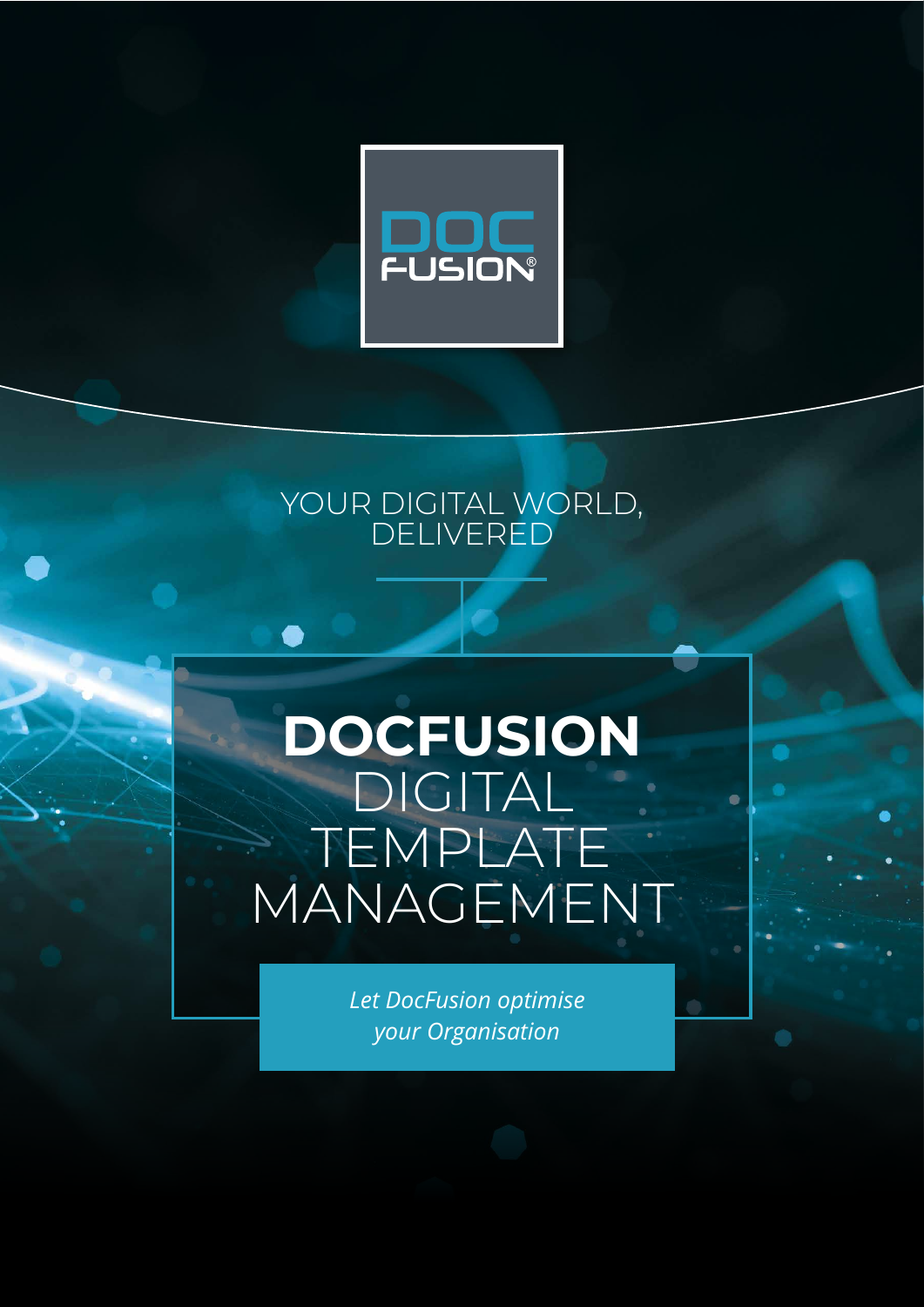

### YOUR DIGITAL WORLD, DELIVERED

## **DOCFUSION**  DIGITAL TEMPLATE MANAGEMENT

*Let DocFusion optimise your Organisation*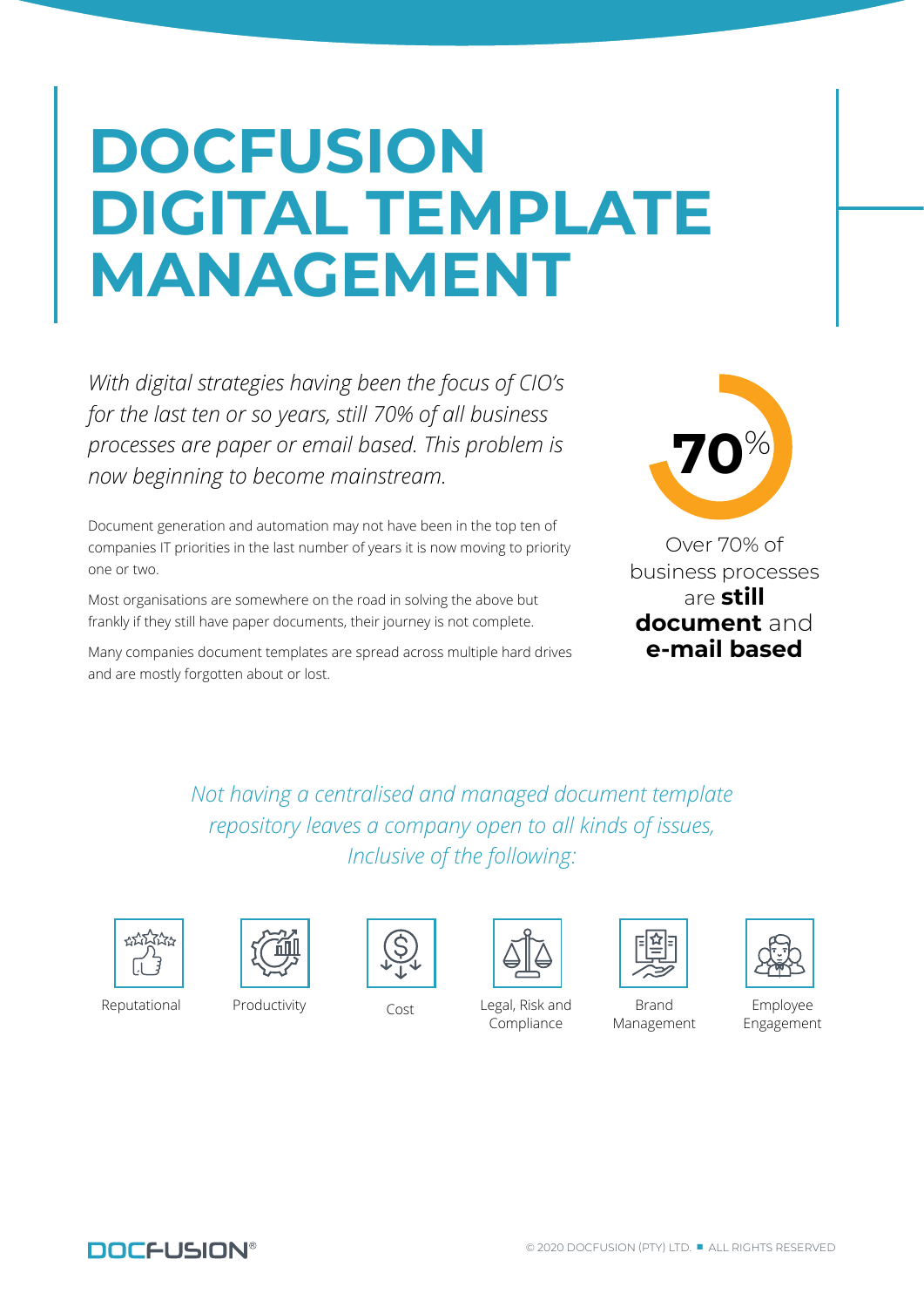# **DOCFUSION DIGITAL TEMPLATE MANAGEMENT**

*With digital strategies having been the focus of CIO's for the last ten or so years, still 70% of all business processes are paper or email based. This problem is now beginning to become mainstream.*

Document generation and automation may not have been in the top ten of companies IT priorities in the last number of years it is now moving to priority one or two.

Most organisations are somewhere on the road in solving the above but frankly if they still have paper documents, their journey is not complete.

Many companies document templates are spread across multiple hard drives and are mostly forgotten about or lost.



Over 70% of business processes are **still document** and **e-mail based**

*Not having a centralised and managed document template repository leaves a company open to all kinds of issues, Inclusive of the following:*









Reputational Productivity Cost Legal, Risk and Compliance



Brand Management



Employee Engagement

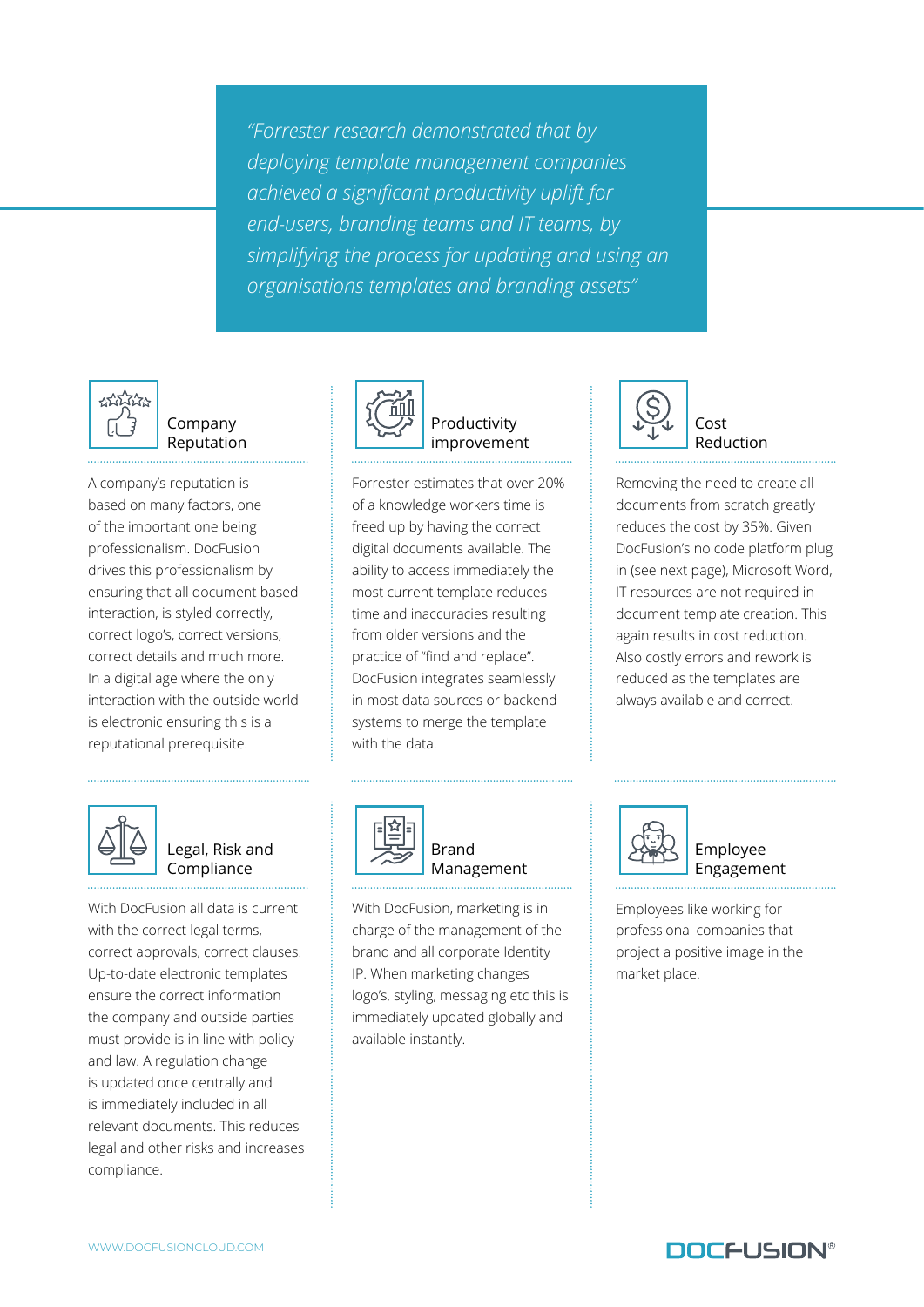*"Forrester research demonstrated that by deploying template management companies achieved a significant productivity uplift for end-users, branding teams and IT teams, by simplifying the process for updating and using an organisations templates and branding assets"*



#### Company Reputation

A company's reputation is based on many factors, one of the important one being professionalism. DocFusion drives this professionalism by ensuring that all document based interaction, is styled correctly, correct logo's, correct versions, correct details and much more. In a digital age where the only interaction with the outside world is electronic ensuring this is a reputational prerequisite.



Productivity improvement

Forrester estimates that over 20% of a knowledge workers time is freed up by having the correct digital documents available. The ability to access immediately the most current template reduces time and inaccuracies resulting from older versions and the practice of "find and replace". DocFusion integrates seamlessly in most data sources or backend systems to merge the template with the data.



Cost Reduction

Removing the need to create all documents from scratch greatly reduces the cost by 35%. Given DocFusion's no code platform plug in (see next page), Microsoft Word, IT resources are not required in document template creation. This again results in cost reduction. Also costly errors and rework is reduced as the templates are always available and correct.



Legal, Risk and Compliance

With DocFusion all data is current with the correct legal terms, correct approvals, correct clauses. Up-to-date electronic templates ensure the correct information the company and outside parties must provide is in line with policy and law. A regulation change is updated once centrally and is immediately included in all relevant documents. This reduces legal and other risks and increases compliance.



Brand Management

With DocFusion, marketing is in charge of the management of the brand and all corporate Identity IP. When marketing changes logo's, styling, messaging etc this is immediately updated globally and available instantly.



Employee Engagement

Employees like working for professional companies that project a positive image in the market place.

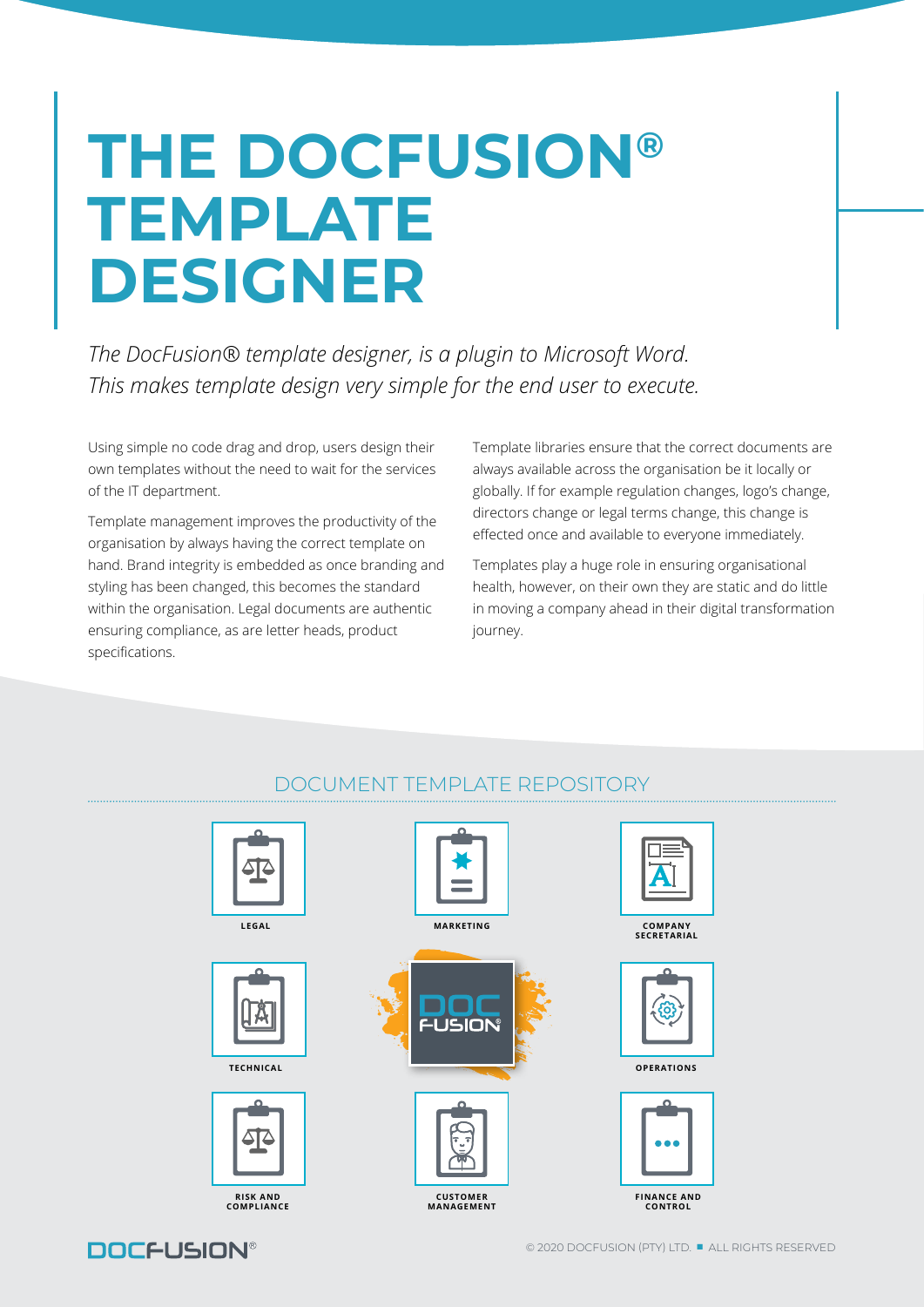# **THE DOCFUSION® TEMPLATE DESIGNER**

*The DocFusion® template designer, is a plugin to Microsoft Word. This makes template design very simple for the end user to execute.* 

Using simple no code drag and drop, users design their own templates without the need to wait for the services of the IT department.

Template management improves the productivity of the organisation by always having the correct template on hand. Brand integrity is embedded as once branding and styling has been changed, this becomes the standard within the organisation. Legal documents are authentic ensuring compliance, as are letter heads, product specifications.

Template libraries ensure that the correct documents are always available across the organisation be it locally or globally. If for example regulation changes, logo's change, directors change or legal terms change, this change is effected once and available to everyone immediately.

Templates play a huge role in ensuring organisational health, however, on their own they are static and do little in moving a company ahead in their digital transformation journey.



### DOCUMENT TEMPLATE REPOSITORY

**DOCFUSION®**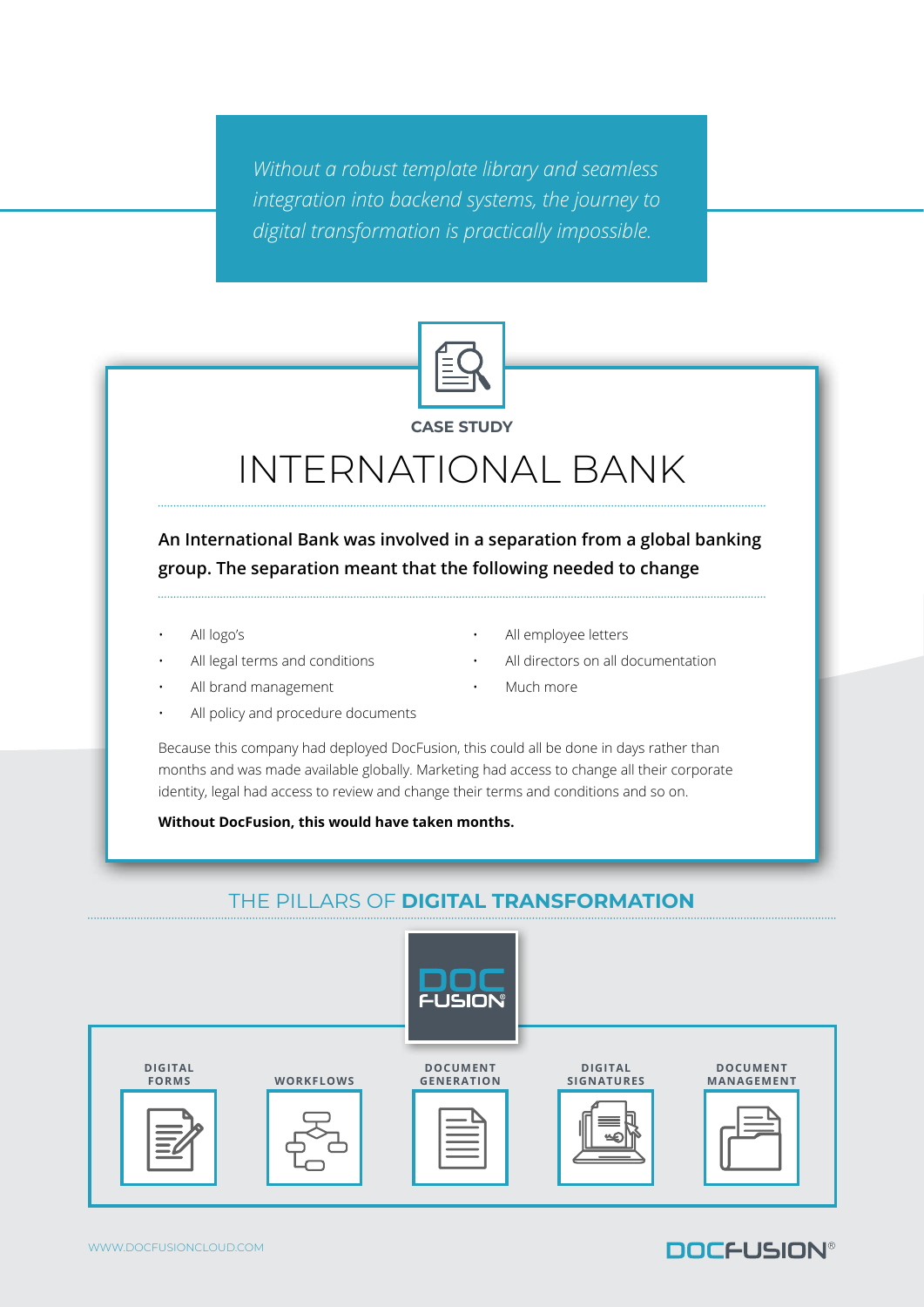*Without a robust template library and seamless integration into backend systems, the journey to digital transformation is practically impossible.*



## INTERNATIONAL BANK

**An International Bank was involved in a separation from a global banking group. The separation meant that the following needed to change**

- All logo's
- All legal terms and conditions
- All brand management
- All policy and procedure documents
- All employee letters
- All directors on all documentation
- Much more

Because this company had deployed DocFusion, this could all be done in days rather than months and was made available globally. Marketing had access to change all their corporate identity, legal had access to review and change their terms and conditions and so on.

**Without DocFusion, this would have taken months.**

### THE PILLARS OF **DIGITAL TRANSFORMATION**



### **DOCFUSION®**